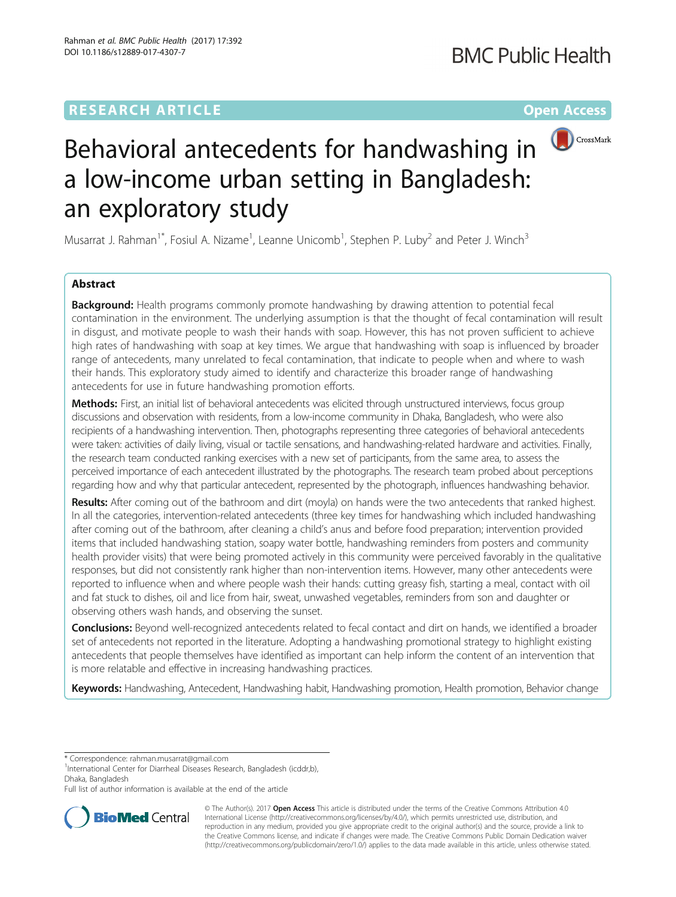## **RESEARCH ARTICLE Example 2014 12:30 The Community Community Community Community Community Community Community**



# Behavioral antecedents for handwashing in a low-income urban setting in Bangladesh: an exploratory study

Musarrat J. Rahman<sup>1\*</sup>, Fosiul A. Nizame<sup>1</sup>, Leanne Unicomb<sup>1</sup>, Stephen P. Luby<sup>2</sup> and Peter J. Winch<sup>3</sup>

## Abstract

**Background:** Health programs commonly promote handwashing by drawing attention to potential fecal contamination in the environment. The underlying assumption is that the thought of fecal contamination will result in disgust, and motivate people to wash their hands with soap. However, this has not proven sufficient to achieve high rates of handwashing with soap at key times. We argue that handwashing with soap is influenced by broader range of antecedents, many unrelated to fecal contamination, that indicate to people when and where to wash their hands. This exploratory study aimed to identify and characterize this broader range of handwashing antecedents for use in future handwashing promotion efforts.

Methods: First, an initial list of behavioral antecedents was elicited through unstructured interviews, focus group discussions and observation with residents, from a low-income community in Dhaka, Bangladesh, who were also recipients of a handwashing intervention. Then, photographs representing three categories of behavioral antecedents were taken: activities of daily living, visual or tactile sensations, and handwashing-related hardware and activities. Finally, the research team conducted ranking exercises with a new set of participants, from the same area, to assess the perceived importance of each antecedent illustrated by the photographs. The research team probed about perceptions regarding how and why that particular antecedent, represented by the photograph, influences handwashing behavior.

Results: After coming out of the bathroom and dirt (moyla) on hands were the two antecedents that ranked highest. In all the categories, intervention-related antecedents (three key times for handwashing which included handwashing after coming out of the bathroom, after cleaning a child's anus and before food preparation; intervention provided items that included handwashing station, soapy water bottle, handwashing reminders from posters and community health provider visits) that were being promoted actively in this community were perceived favorably in the qualitative responses, but did not consistently rank higher than non-intervention items. However, many other antecedents were reported to influence when and where people wash their hands: cutting greasy fish, starting a meal, contact with oil and fat stuck to dishes, oil and lice from hair, sweat, unwashed vegetables, reminders from son and daughter or observing others wash hands, and observing the sunset.

Conclusions: Beyond well-recognized antecedents related to fecal contact and dirt on hands, we identified a broader set of antecedents not reported in the literature. Adopting a handwashing promotional strategy to highlight existing antecedents that people themselves have identified as important can help inform the content of an intervention that is more relatable and effective in increasing handwashing practices.

Keywords: Handwashing, Antecedent, Handwashing habit, Handwashing promotion, Health promotion, Behavior change

\* Correspondence: [rahman.musarrat@gmail.com](mailto:rahman.musarrat@gmail.com) <sup>1</sup>

<sup>1</sup>International Center for Diarrheal Diseases Research, Bangladesh (icddr,b), Dhaka, Bangladesh

Full list of author information is available at the end of the article



© The Author(s). 2017 **Open Access** This article is distributed under the terms of the Creative Commons Attribution 4.0 International License [\(http://creativecommons.org/licenses/by/4.0/](http://creativecommons.org/licenses/by/4.0/)), which permits unrestricted use, distribution, and reproduction in any medium, provided you give appropriate credit to the original author(s) and the source, provide a link to the Creative Commons license, and indicate if changes were made. The Creative Commons Public Domain Dedication waiver [\(http://creativecommons.org/publicdomain/zero/1.0/](http://creativecommons.org/publicdomain/zero/1.0/)) applies to the data made available in this article, unless otherwise stated.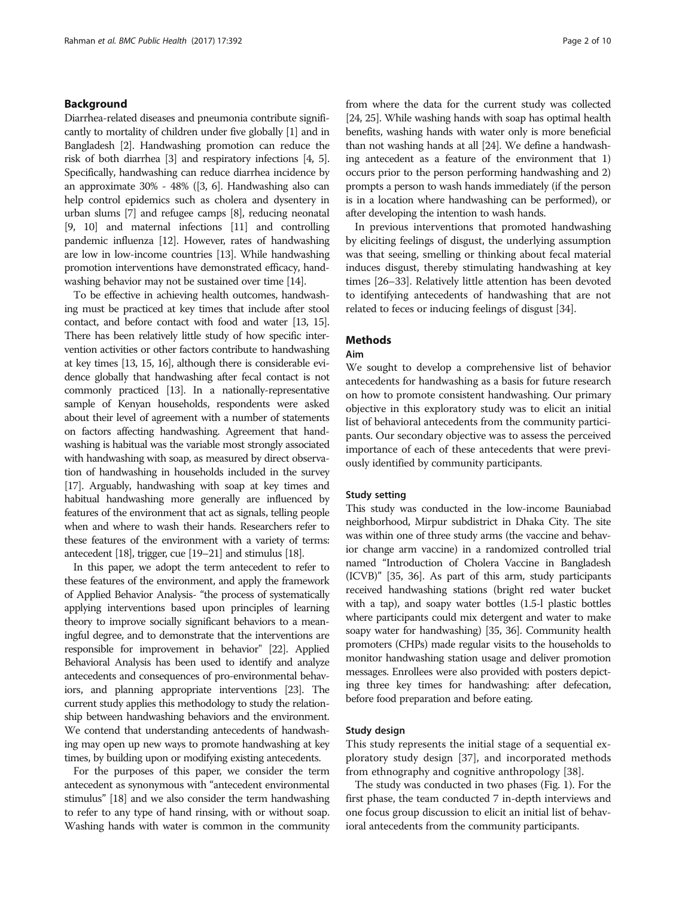## Background

Diarrhea-related diseases and pneumonia contribute significantly to mortality of children under five globally [\[1\]](#page-8-0) and in Bangladesh [[2](#page-8-0)]. Handwashing promotion can reduce the risk of both diarrhea [\[3](#page-8-0)] and respiratory infections [\[4, 5](#page-8-0)]. Specifically, handwashing can reduce diarrhea incidence by an approximate 30% - 48% ([\[3, 6](#page-8-0)]. Handwashing also can help control epidemics such as cholera and dysentery in urban slums [[7](#page-8-0)] and refugee camps [[8\]](#page-8-0), reducing neonatal [[9](#page-8-0), [10](#page-8-0)] and maternal infections [\[11](#page-8-0)] and controlling pandemic influenza [\[12](#page-8-0)]. However, rates of handwashing are low in low-income countries [[13](#page-8-0)]. While handwashing promotion interventions have demonstrated efficacy, handwashing behavior may not be sustained over time [\[14\]](#page-8-0).

To be effective in achieving health outcomes, handwashing must be practiced at key times that include after stool contact, and before contact with food and water [[13, 15\]](#page-8-0). There has been relatively little study of how specific intervention activities or other factors contribute to handwashing at key times [\[13](#page-8-0), [15, 16](#page-8-0)], although there is considerable evidence globally that handwashing after fecal contact is not commonly practiced [\[13\]](#page-8-0). In a nationally-representative sample of Kenyan households, respondents were asked about their level of agreement with a number of statements on factors affecting handwashing. Agreement that handwashing is habitual was the variable most strongly associated with handwashing with soap, as measured by direct observation of handwashing in households included in the survey [[17\]](#page-8-0). Arguably, handwashing with soap at key times and habitual handwashing more generally are influenced by features of the environment that act as signals, telling people when and where to wash their hands. Researchers refer to these features of the environment with a variety of terms: antecedent [\[18\]](#page-8-0), trigger, cue [\[19](#page-9-0)–[21](#page-9-0)] and stimulus [\[18](#page-8-0)].

In this paper, we adopt the term antecedent to refer to these features of the environment, and apply the framework of Applied Behavior Analysis- "the process of systematically applying interventions based upon principles of learning theory to improve socially significant behaviors to a meaningful degree, and to demonstrate that the interventions are responsible for improvement in behavior" [[22](#page-9-0)]. Applied Behavioral Analysis has been used to identify and analyze antecedents and consequences of pro-environmental behaviors, and planning appropriate interventions [[23](#page-9-0)]. The current study applies this methodology to study the relationship between handwashing behaviors and the environment. We contend that understanding antecedents of handwashing may open up new ways to promote handwashing at key times, by building upon or modifying existing antecedents.

For the purposes of this paper, we consider the term antecedent as synonymous with "antecedent environmental stimulus" [\[18\]](#page-8-0) and we also consider the term handwashing to refer to any type of hand rinsing, with or without soap. Washing hands with water is common in the community from where the data for the current study was collected [[24](#page-9-0), [25](#page-9-0)]. While washing hands with soap has optimal health benefits, washing hands with water only is more beneficial than not washing hands at all [\[24\]](#page-9-0). We define a handwashing antecedent as a feature of the environment that 1) occurs prior to the person performing handwashing and 2) prompts a person to wash hands immediately (if the person is in a location where handwashing can be performed), or after developing the intention to wash hands.

In previous interventions that promoted handwashing by eliciting feelings of disgust, the underlying assumption was that seeing, smelling or thinking about fecal material induces disgust, thereby stimulating handwashing at key times [[26](#page-9-0)–[33\]](#page-9-0). Relatively little attention has been devoted to identifying antecedents of handwashing that are not related to feces or inducing feelings of disgust [\[34\]](#page-9-0).

## Methods

#### Aim

We sought to develop a comprehensive list of behavior antecedents for handwashing as a basis for future research on how to promote consistent handwashing. Our primary objective in this exploratory study was to elicit an initial list of behavioral antecedents from the community participants. Our secondary objective was to assess the perceived importance of each of these antecedents that were previously identified by community participants.

## Study setting

This study was conducted in the low-income Bauniabad neighborhood, Mirpur subdistrict in Dhaka City. The site was within one of three study arms (the vaccine and behavior change arm vaccine) in a randomized controlled trial named "Introduction of Cholera Vaccine in Bangladesh (ICVB)" [[35](#page-9-0), [36](#page-9-0)]. As part of this arm, study participants received handwashing stations (bright red water bucket with a tap), and soapy water bottles (1.5-l plastic bottles where participants could mix detergent and water to make soapy water for handwashing) [[35](#page-9-0), [36](#page-9-0)]. Community health promoters (CHPs) made regular visits to the households to monitor handwashing station usage and deliver promotion messages. Enrollees were also provided with posters depicting three key times for handwashing: after defecation, before food preparation and before eating.

#### Study design

This study represents the initial stage of a sequential exploratory study design [\[37\]](#page-9-0), and incorporated methods from ethnography and cognitive anthropology [[38](#page-9-0)].

The study was conducted in two phases (Fig. [1](#page-2-0)). For the first phase, the team conducted 7 in-depth interviews and one focus group discussion to elicit an initial list of behavioral antecedents from the community participants.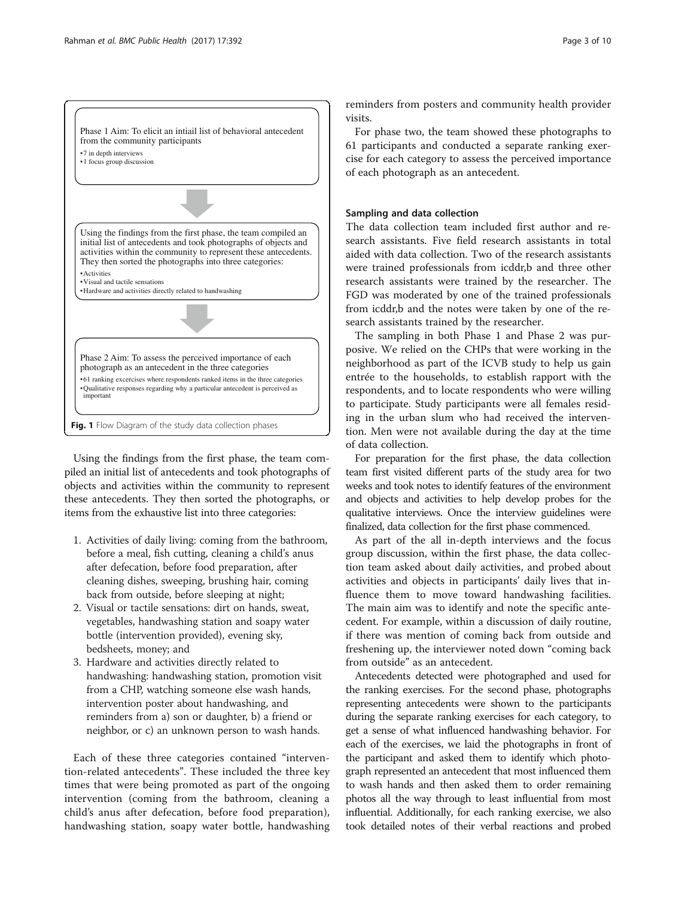<span id="page-2-0"></span>

Using the findings from the first phase, the team compiled an initial list of antecedents and took photographs of objects and activities within the community to represent these antecedents. They then sorted the photographs, or items from the exhaustive list into three categories:

- 1. Activities of daily living: coming from the bathroom, before a meal, fish cutting, cleaning a child's anus after defecation, before food preparation, after cleaning dishes, sweeping, brushing hair, coming back from outside, before sleeping at night;
- 2. Visual or tactile sensations: dirt on hands, sweat, vegetables, handwashing station and soapy water bottle (intervention provided), evening sky, bedsheets, money; and
- 3. Hardware and activities directly related to handwashing: handwashing station, promotion visit from a CHP, watching someone else wash hands, intervention poster about handwashing, and reminders from a) son or daughter, b) a friend or neighbor, or c) an unknown person to wash hands.

Each of these three categories contained "intervention-related antecedents". These included the three key times that were being promoted as part of the ongoing intervention (coming from the bathroom, cleaning a child's anus after defecation, before food preparation), handwashing station, soapy water bottle, handwashing reminders from posters and community health provider visits.

For phase two, the team showed these photographs to 61 participants and conducted a separate ranking exercise for each category to assess the perceived importance of each photograph as an antecedent.

## Sampling and data collection

The data collection team included first author and research assistants. Five field research assistants in total aided with data collection. Two of the research assistants were trained professionals from icddr,b and three other research assistants were trained by the researcher. The FGD was moderated by one of the trained professionals from icddr,b and the notes were taken by one of the research assistants trained by the researcher.

The sampling in both Phase 1 and Phase 2 was purposive. We relied on the CHPs that were working in the neighborhood as part of the ICVB study to help us gain entrée to the households, to establish rapport with the respondents, and to locate respondents who were willing to participate. Study participants were all females residing in the urban slum who had received the intervention. Men were not available during the day at the time of data collection.

For preparation for the first phase, the data collection team first visited different parts of the study area for two weeks and took notes to identify features of the environment and objects and activities to help develop probes for the qualitative interviews. Once the interview guidelines were finalized, data collection for the first phase commenced.

As part of the all in-depth interviews and the focus group discussion, within the first phase, the data collection team asked about daily activities, and probed about activities and objects in participants' daily lives that influence them to move toward handwashing facilities. The main aim was to identify and note the specific antecedent. For example, within a discussion of daily routine, if there was mention of coming back from outside and freshening up, the interviewer noted down "coming back from outside" as an antecedent.

Antecedents detected were photographed and used for the ranking exercises. For the second phase, photographs representing antecedents were shown to the participants during the separate ranking exercises for each category, to get a sense of what influenced handwashing behavior. For each of the exercises, we laid the photographs in front of the participant and asked them to identify which photograph represented an antecedent that most influenced them to wash hands and then asked them to order remaining photos all the way through to least influential from most influential. Additionally, for each ranking exercise, we also took detailed notes of their verbal reactions and probed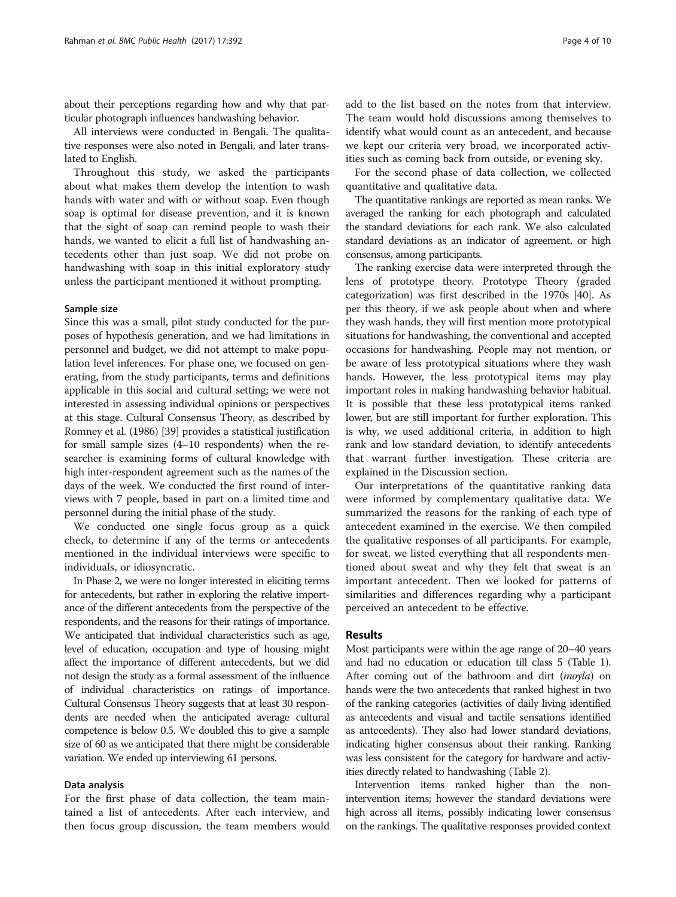about their perceptions regarding how and why that particular photograph influences handwashing behavior.

All interviews were conducted in Bengali. The qualitative responses were also noted in Bengali, and later translated to English.

Throughout this study, we asked the participants about what makes them develop the intention to wash hands with water and with or without soap. Even though soap is optimal for disease prevention, and it is known that the sight of soap can remind people to wash their hands, we wanted to elicit a full list of handwashing antecedents other than just soap. We did not probe on handwashing with soap in this initial exploratory study unless the participant mentioned it without prompting.

#### Sample size

Since this was a small, pilot study conducted for the purposes of hypothesis generation, and we had limitations in personnel and budget, we did not attempt to make population level inferences. For phase one, we focused on generating, from the study participants, terms and definitions applicable in this social and cultural setting; we were not interested in assessing individual opinions or perspectives at this stage. Cultural Consensus Theory, as described by Romney et al. (1986) [\[39\]](#page-9-0) provides a statistical justification for small sample sizes (4–10 respondents) when the researcher is examining forms of cultural knowledge with high inter-respondent agreement such as the names of the days of the week. We conducted the first round of interviews with 7 people, based in part on a limited time and personnel during the initial phase of the study.

We conducted one single focus group as a quick check, to determine if any of the terms or antecedents mentioned in the individual interviews were specific to individuals, or idiosyncratic.

In Phase 2, we were no longer interested in eliciting terms for antecedents, but rather in exploring the relative importance of the different antecedents from the perspective of the respondents, and the reasons for their ratings of importance. We anticipated that individual characteristics such as age, level of education, occupation and type of housing might affect the importance of different antecedents, but we did not design the study as a formal assessment of the influence of individual characteristics on ratings of importance. Cultural Consensus Theory suggests that at least 30 respondents are needed when the anticipated average cultural competence is below 0.5. We doubled this to give a sample size of 60 as we anticipated that there might be considerable variation. We ended up interviewing 61 persons.

#### Data analysis

For the first phase of data collection, the team maintained a list of antecedents. After each interview, and then focus group discussion, the team members would

add to the list based on the notes from that interview. The team would hold discussions among themselves to identify what would count as an antecedent, and because we kept our criteria very broad, we incorporated activities such as coming back from outside, or evening sky.

For the second phase of data collection, we collected quantitative and qualitative data.

The quantitative rankings are reported as mean ranks. We averaged the ranking for each photograph and calculated the standard deviations for each rank. We also calculated standard deviations as an indicator of agreement, or high consensus, among participants.

The ranking exercise data were interpreted through the lens of prototype theory. Prototype Theory (graded categorization) was first described in the 1970s [[40](#page-9-0)]. As per this theory, if we ask people about when and where they wash hands, they will first mention more prototypical situations for handwashing, the conventional and accepted occasions for handwashing. People may not mention, or be aware of less prototypical situations where they wash hands. However, the less prototypical items may play important roles in making handwashing behavior habitual. It is possible that these less prototypical items ranked lower, but are still important for further exploration. This is why, we used additional criteria, in addition to high rank and low standard deviation, to identify antecedents that warrant further investigation. These criteria are explained in the Discussion section.

Our interpretations of the quantitative ranking data were informed by complementary qualitative data. We summarized the reasons for the ranking of each type of antecedent examined in the exercise. We then compiled the qualitative responses of all participants. For example, for sweat, we listed everything that all respondents mentioned about sweat and why they felt that sweat is an important antecedent. Then we looked for patterns of similarities and differences regarding why a participant perceived an antecedent to be effective.

## Results

Most participants were within the age range of 20–40 years and had no education or education till class 5 (Table [1](#page-4-0)). After coming out of the bathroom and dirt (moyla) on hands were the two antecedents that ranked highest in two of the ranking categories (activities of daily living identified as antecedents and visual and tactile sensations identified as antecedents). They also had lower standard deviations, indicating higher consensus about their ranking. Ranking was less consistent for the category for hardware and activities directly related to handwashing (Table [2\)](#page-4-0).

Intervention items ranked higher than the nonintervention items; however the standard deviations were high across all items, possibly indicating lower consensus on the rankings. The qualitative responses provided context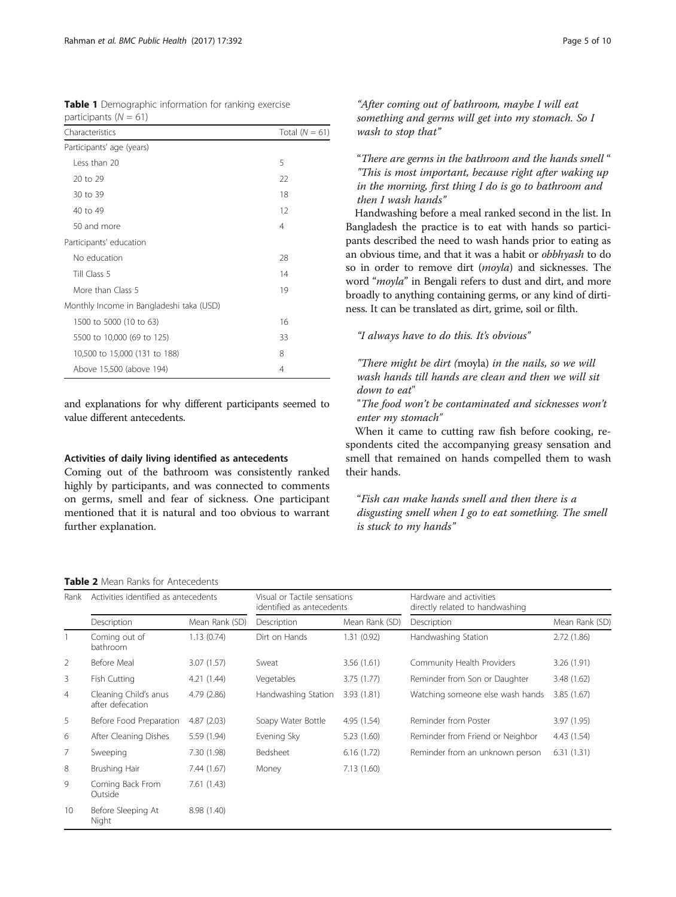<span id="page-4-0"></span>

| <b>Table 1</b> Demographic information for ranking exercise |  |
|-------------------------------------------------------------|--|
| participants $(N = 61)$                                     |  |

| Characteristics                          | Total ( $N = 61$ ) |
|------------------------------------------|--------------------|
| Participants' age (years)                |                    |
| Less than 20                             | 5                  |
| 20 to 29                                 | 22                 |
| 30 to 39                                 | 18                 |
| 40 to 49                                 | 12                 |
| 50 and more                              | 4                  |
| Participants' education                  |                    |
| No education                             | 28                 |
| Till Class 5                             | 14                 |
| More than Class 5                        | 19                 |
| Monthly Income in Bangladeshi taka (USD) |                    |
| 1500 to 5000 (10 to 63)                  | 16                 |
| 5500 to 10,000 (69 to 125)               | 33                 |
| 10,500 to 15,000 (131 to 188)            | 8                  |
| Above 15,500 (above 194)                 | 4                  |

and explanations for why different participants seemed to value different antecedents.

## Activities of daily living identified as antecedents

Coming out of the bathroom was consistently ranked highly by participants, and was connected to comments on germs, smell and fear of sickness. One participant mentioned that it is natural and too obvious to warrant further explanation.

## Table 2 Mean Ranks for Antecedents

| Rank           | Activities identified as antecedents      |                | Visual or Tactile sensations<br>identified as antecedents |                | Hardware and activities<br>directly related to handwashing |                |
|----------------|-------------------------------------------|----------------|-----------------------------------------------------------|----------------|------------------------------------------------------------|----------------|
|                | Description                               | Mean Rank (SD) | Description                                               | Mean Rank (SD) | Description                                                | Mean Rank (SD) |
|                | Coming out of<br>bathroom                 | 1.13(0.74)     | Dirt on Hands                                             | 1.31(0.92)     | Handwashing Station                                        | 2.72(1.86)     |
| $\overline{2}$ | Before Meal                               | 3.07(1.57)     | Sweat                                                     | 3.56(1.61)     | Community Health Providers                                 | 3.26 (1.91)    |
| 3              | Fish Cutting                              | 4.21 (1.44)    | Vegetables                                                | 3.75 (1.77)    | Reminder from Son or Daughter                              | 3.48(1.62)     |
| 4              | Cleaning Child's anus<br>after defecation | 4.79 (2.86)    | Handwashing Station                                       | 3.93 (1.81)    | Watching someone else wash hands                           | 3.85 (1.67)    |
| 5              | Before Food Preparation                   | 4.87(2.03)     | Soapy Water Bottle                                        | 4.95(1.54)     | Reminder from Poster                                       | 3.97 (1.95)    |
| 6              | After Cleaning Dishes                     | 5.59 (1.94)    | Evening Sky                                               | 5.23 (1.60)    | Reminder from Friend or Neighbor                           | 4.43 (1.54)    |
| 7              | Sweeping                                  | 7.30 (1.98)    | Bedsheet                                                  | 6.16(1.72)     | Reminder from an unknown person                            | 6.31(1.31)     |
| 8              | Brushing Hair                             | 7.44 (1.67)    | Money                                                     | 7.13(1.60)     |                                                            |                |
| 9              | Coming Back From<br>Outside               | 7.61(1.43)     |                                                           |                |                                                            |                |
| 10             | Before Sleeping At<br>Night               | 8.98 (1.40)    |                                                           |                |                                                            |                |

"After coming out of bathroom, maybe I will eat something and germs will get into my stomach. So I wash to stop that"

"There are germs in the bathroom and the hands smell " "This is most important, because right after waking up in the morning, first thing I do is go to bathroom and then I wash hands"

Handwashing before a meal ranked second in the list. In Bangladesh the practice is to eat with hands so participants described the need to wash hands prior to eating as an obvious time, and that it was a habit or obbhyash to do so in order to remove dirt (moyla) and sicknesses. The word "moyla" in Bengali refers to dust and dirt, and more broadly to anything containing germs, or any kind of dirtiness. It can be translated as dirt, grime, soil or filth.

## "I always have to do this. It's obvious"

"There might be dirt (moyla) in the nails, so we will wash hands till hands are clean and then we will sit down to eat"

"The food won't be contaminated and sicknesses won't enter my stomach"

When it came to cutting raw fish before cooking, respondents cited the accompanying greasy sensation and smell that remained on hands compelled them to wash their hands.

"Fish can make hands smell and then there is a disgusting smell when I go to eat something. The smell is stuck to my hands"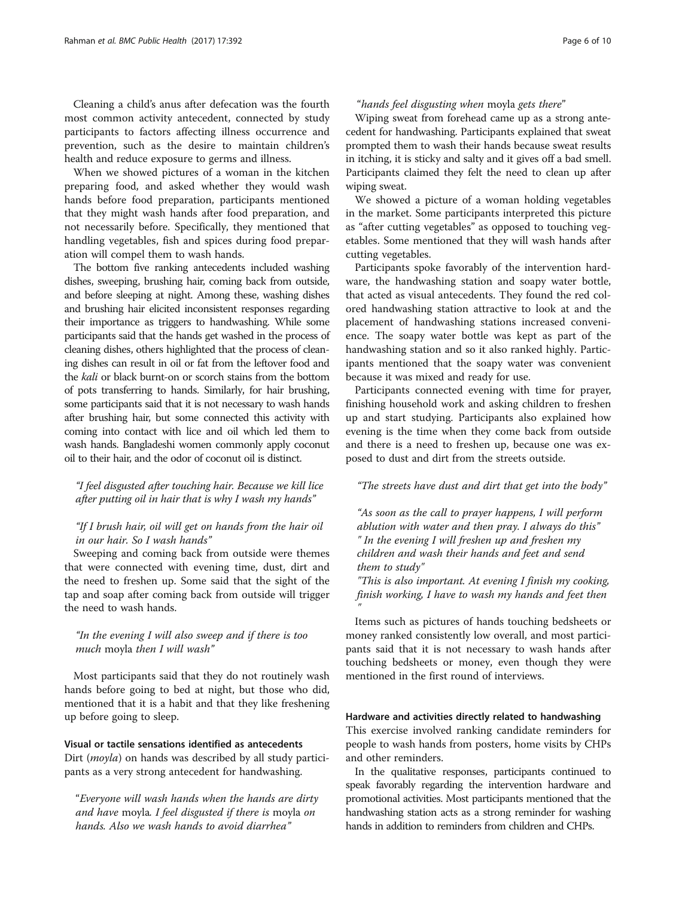Cleaning a child's anus after defecation was the fourth most common activity antecedent, connected by study participants to factors affecting illness occurrence and prevention, such as the desire to maintain children's health and reduce exposure to germs and illness.

When we showed pictures of a woman in the kitchen preparing food, and asked whether they would wash hands before food preparation, participants mentioned that they might wash hands after food preparation, and not necessarily before. Specifically, they mentioned that handling vegetables, fish and spices during food preparation will compel them to wash hands.

The bottom five ranking antecedents included washing dishes, sweeping, brushing hair, coming back from outside, and before sleeping at night. Among these, washing dishes and brushing hair elicited inconsistent responses regarding their importance as triggers to handwashing. While some participants said that the hands get washed in the process of cleaning dishes, others highlighted that the process of cleaning dishes can result in oil or fat from the leftover food and the kali or black burnt-on or scorch stains from the bottom of pots transferring to hands. Similarly, for hair brushing, some participants said that it is not necessary to wash hands after brushing hair, but some connected this activity with coming into contact with lice and oil which led them to wash hands. Bangladeshi women commonly apply coconut oil to their hair, and the odor of coconut oil is distinct.

## "I feel disgusted after touching hair. Because we kill lice after putting oil in hair that is why I wash my hands"

## "If I brush hair, oil will get on hands from the hair oil in our hair. So I wash hands"

Sweeping and coming back from outside were themes that were connected with evening time, dust, dirt and the need to freshen up. Some said that the sight of the tap and soap after coming back from outside will trigger the need to wash hands.

## "In the evening I will also sweep and if there is too much moyla then I will wash"

Most participants said that they do not routinely wash hands before going to bed at night, but those who did, mentioned that it is a habit and that they like freshening up before going to sleep.

## Visual or tactile sensations identified as antecedents Dirt (*moyla*) on hands was described by all study participants as a very strong antecedent for handwashing.

"Everyone will wash hands when the hands are dirty and have moyla. I feel disgusted if there is moyla on hands. Also we wash hands to avoid diarrhea"

## "hands feel disgusting when moyla gets there"

Wiping sweat from forehead came up as a strong antecedent for handwashing. Participants explained that sweat prompted them to wash their hands because sweat results in itching, it is sticky and salty and it gives off a bad smell. Participants claimed they felt the need to clean up after wiping sweat.

We showed a picture of a woman holding vegetables in the market. Some participants interpreted this picture as "after cutting vegetables" as opposed to touching vegetables. Some mentioned that they will wash hands after cutting vegetables.

Participants spoke favorably of the intervention hardware, the handwashing station and soapy water bottle, that acted as visual antecedents. They found the red colored handwashing station attractive to look at and the placement of handwashing stations increased convenience. The soapy water bottle was kept as part of the handwashing station and so it also ranked highly. Participants mentioned that the soapy water was convenient because it was mixed and ready for use.

Participants connected evening with time for prayer, finishing household work and asking children to freshen up and start studying. Participants also explained how evening is the time when they come back from outside and there is a need to freshen up, because one was exposed to dust and dirt from the streets outside.

## "The streets have dust and dirt that get into the body"

"As soon as the call to prayer happens, I will perform ablution with water and then pray. I always do this" " In the evening I will freshen up and freshen my children and wash their hands and feet and send them to study"

"This is also important. At evening I finish my cooking, finish working, I have to wash my hands and feet then "

Items such as pictures of hands touching bedsheets or money ranked consistently low overall, and most participants said that it is not necessary to wash hands after touching bedsheets or money, even though they were mentioned in the first round of interviews.

#### Hardware and activities directly related to handwashing

This exercise involved ranking candidate reminders for people to wash hands from posters, home visits by CHPs and other reminders.

In the qualitative responses, participants continued to speak favorably regarding the intervention hardware and promotional activities. Most participants mentioned that the handwashing station acts as a strong reminder for washing hands in addition to reminders from children and CHPs.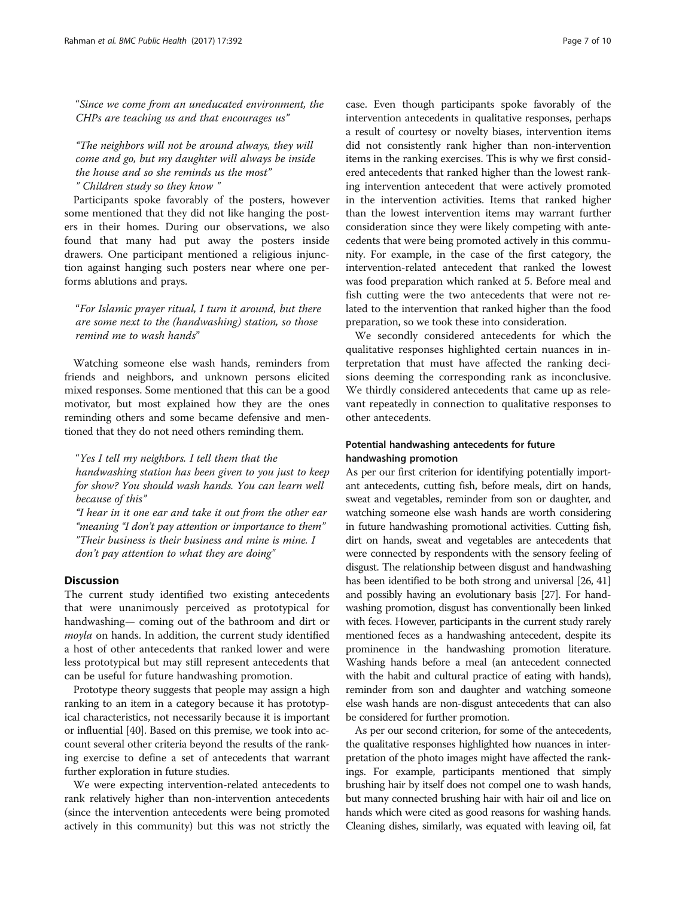"Since we come from an uneducated environment, the CHPs are teaching us and that encourages us"

"The neighbors will not be around always, they will come and go, but my daughter will always be inside the house and so she reminds us the most" " Children study so they know "

Participants spoke favorably of the posters, however some mentioned that they did not like hanging the posters in their homes. During our observations, we also found that many had put away the posters inside drawers. One participant mentioned a religious injunction against hanging such posters near where one performs ablutions and prays.

"For Islamic prayer ritual, I turn it around, but there are some next to the (handwashing) station, so those remind me to wash hands"

Watching someone else wash hands, reminders from friends and neighbors, and unknown persons elicited mixed responses. Some mentioned that this can be a good motivator, but most explained how they are the ones reminding others and some became defensive and mentioned that they do not need others reminding them.

"Yes I tell my neighbors. I tell them that the handwashing station has been given to you just to keep for show? You should wash hands. You can learn well because of this'

"I hear in it one ear and take it out from the other ear "meaning "I don't pay attention or importance to them" "Their business is their business and mine is mine. I don't pay attention to what they are doing"

## **Discussion**

The current study identified two existing antecedents that were unanimously perceived as prototypical for handwashing— coming out of the bathroom and dirt or moyla on hands. In addition, the current study identified a host of other antecedents that ranked lower and were less prototypical but may still represent antecedents that can be useful for future handwashing promotion.

Prototype theory suggests that people may assign a high ranking to an item in a category because it has prototypical characteristics, not necessarily because it is important or influential [\[40\]](#page-9-0). Based on this premise, we took into account several other criteria beyond the results of the ranking exercise to define a set of antecedents that warrant further exploration in future studies.

We were expecting intervention-related antecedents to rank relatively higher than non-intervention antecedents (since the intervention antecedents were being promoted actively in this community) but this was not strictly the

case. Even though participants spoke favorably of the intervention antecedents in qualitative responses, perhaps a result of courtesy or novelty biases, intervention items did not consistently rank higher than non-intervention items in the ranking exercises. This is why we first considered antecedents that ranked higher than the lowest ranking intervention antecedent that were actively promoted in the intervention activities. Items that ranked higher than the lowest intervention items may warrant further consideration since they were likely competing with antecedents that were being promoted actively in this community. For example, in the case of the first category, the intervention-related antecedent that ranked the lowest was food preparation which ranked at 5. Before meal and fish cutting were the two antecedents that were not related to the intervention that ranked higher than the food preparation, so we took these into consideration.

We secondly considered antecedents for which the qualitative responses highlighted certain nuances in interpretation that must have affected the ranking decisions deeming the corresponding rank as inconclusive. We thirdly considered antecedents that came up as relevant repeatedly in connection to qualitative responses to other antecedents.

## Potential handwashing antecedents for future handwashing promotion

As per our first criterion for identifying potentially important antecedents, cutting fish, before meals, dirt on hands, sweat and vegetables, reminder from son or daughter, and watching someone else wash hands are worth considering in future handwashing promotional activities. Cutting fish, dirt on hands, sweat and vegetables are antecedents that were connected by respondents with the sensory feeling of disgust. The relationship between disgust and handwashing has been identified to be both strong and universal [[26, 41](#page-9-0)] and possibly having an evolutionary basis [[27](#page-9-0)]. For handwashing promotion, disgust has conventionally been linked with feces. However, participants in the current study rarely mentioned feces as a handwashing antecedent, despite its prominence in the handwashing promotion literature. Washing hands before a meal (an antecedent connected with the habit and cultural practice of eating with hands), reminder from son and daughter and watching someone else wash hands are non-disgust antecedents that can also be considered for further promotion.

As per our second criterion, for some of the antecedents, the qualitative responses highlighted how nuances in interpretation of the photo images might have affected the rankings. For example, participants mentioned that simply brushing hair by itself does not compel one to wash hands, but many connected brushing hair with hair oil and lice on hands which were cited as good reasons for washing hands. Cleaning dishes, similarly, was equated with leaving oil, fat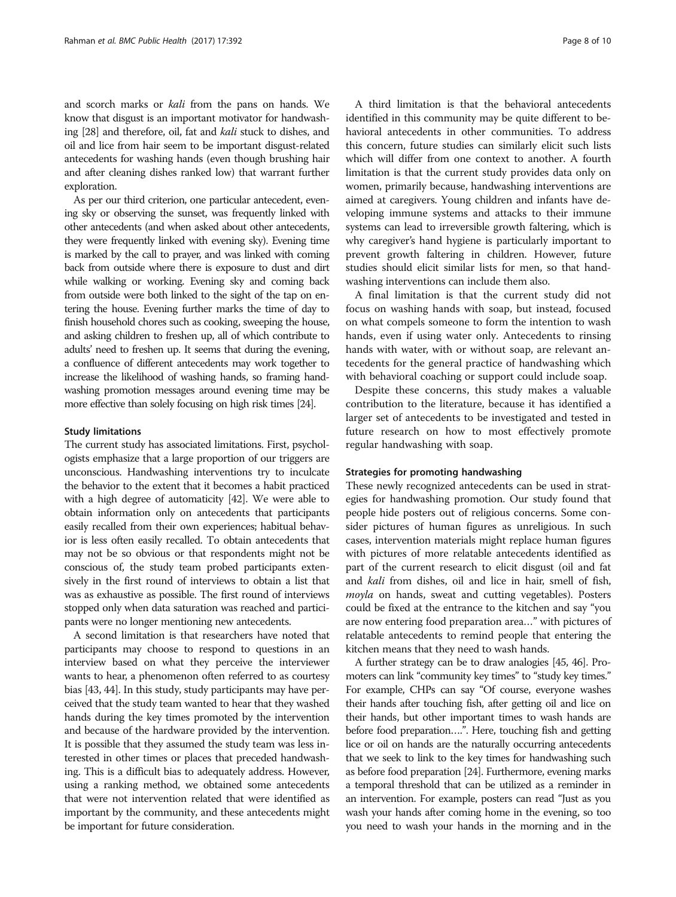and scorch marks or kali from the pans on hands. We know that disgust is an important motivator for handwashing [\[28](#page-9-0)] and therefore, oil, fat and kali stuck to dishes, and oil and lice from hair seem to be important disgust-related antecedents for washing hands (even though brushing hair and after cleaning dishes ranked low) that warrant further exploration.

As per our third criterion, one particular antecedent, evening sky or observing the sunset, was frequently linked with other antecedents (and when asked about other antecedents, they were frequently linked with evening sky). Evening time is marked by the call to prayer, and was linked with coming back from outside where there is exposure to dust and dirt while walking or working. Evening sky and coming back from outside were both linked to the sight of the tap on entering the house. Evening further marks the time of day to finish household chores such as cooking, sweeping the house, and asking children to freshen up, all of which contribute to adults' need to freshen up. It seems that during the evening, a confluence of different antecedents may work together to increase the likelihood of washing hands, so framing handwashing promotion messages around evening time may be more effective than solely focusing on high risk times [\[24\]](#page-9-0).

#### Study limitations

The current study has associated limitations. First, psychologists emphasize that a large proportion of our triggers are unconscious. Handwashing interventions try to inculcate the behavior to the extent that it becomes a habit practiced with a high degree of automaticity [\[42](#page-9-0)]. We were able to obtain information only on antecedents that participants easily recalled from their own experiences; habitual behavior is less often easily recalled. To obtain antecedents that may not be so obvious or that respondents might not be conscious of, the study team probed participants extensively in the first round of interviews to obtain a list that was as exhaustive as possible. The first round of interviews stopped only when data saturation was reached and participants were no longer mentioning new antecedents.

A second limitation is that researchers have noted that participants may choose to respond to questions in an interview based on what they perceive the interviewer wants to hear, a phenomenon often referred to as courtesy bias [[43](#page-9-0), [44](#page-9-0)]. In this study, study participants may have perceived that the study team wanted to hear that they washed hands during the key times promoted by the intervention and because of the hardware provided by the intervention. It is possible that they assumed the study team was less interested in other times or places that preceded handwashing. This is a difficult bias to adequately address. However, using a ranking method, we obtained some antecedents that were not intervention related that were identified as important by the community, and these antecedents might be important for future consideration.

A third limitation is that the behavioral antecedents identified in this community may be quite different to behavioral antecedents in other communities. To address this concern, future studies can similarly elicit such lists which will differ from one context to another. A fourth limitation is that the current study provides data only on women, primarily because, handwashing interventions are aimed at caregivers. Young children and infants have developing immune systems and attacks to their immune systems can lead to irreversible growth faltering, which is why caregiver's hand hygiene is particularly important to prevent growth faltering in children. However, future studies should elicit similar lists for men, so that handwashing interventions can include them also.

A final limitation is that the current study did not focus on washing hands with soap, but instead, focused on what compels someone to form the intention to wash hands, even if using water only. Antecedents to rinsing hands with water, with or without soap, are relevant antecedents for the general practice of handwashing which with behavioral coaching or support could include soap.

Despite these concerns, this study makes a valuable contribution to the literature, because it has identified a larger set of antecedents to be investigated and tested in future research on how to most effectively promote regular handwashing with soap.

#### Strategies for promoting handwashing

These newly recognized antecedents can be used in strategies for handwashing promotion. Our study found that people hide posters out of religious concerns. Some consider pictures of human figures as unreligious. In such cases, intervention materials might replace human figures with pictures of more relatable antecedents identified as part of the current research to elicit disgust (oil and fat and kali from dishes, oil and lice in hair, smell of fish, moyla on hands, sweat and cutting vegetables). Posters could be fixed at the entrance to the kitchen and say "you are now entering food preparation area…" with pictures of relatable antecedents to remind people that entering the kitchen means that they need to wash hands.

A further strategy can be to draw analogies [\[45, 46](#page-9-0)]. Promoters can link "community key times" to "study key times." For example, CHPs can say "Of course, everyone washes their hands after touching fish, after getting oil and lice on their hands, but other important times to wash hands are before food preparation….". Here, touching fish and getting lice or oil on hands are the naturally occurring antecedents that we seek to link to the key times for handwashing such as before food preparation [[24](#page-9-0)]. Furthermore, evening marks a temporal threshold that can be utilized as a reminder in an intervention. For example, posters can read "Just as you wash your hands after coming home in the evening, so too you need to wash your hands in the morning and in the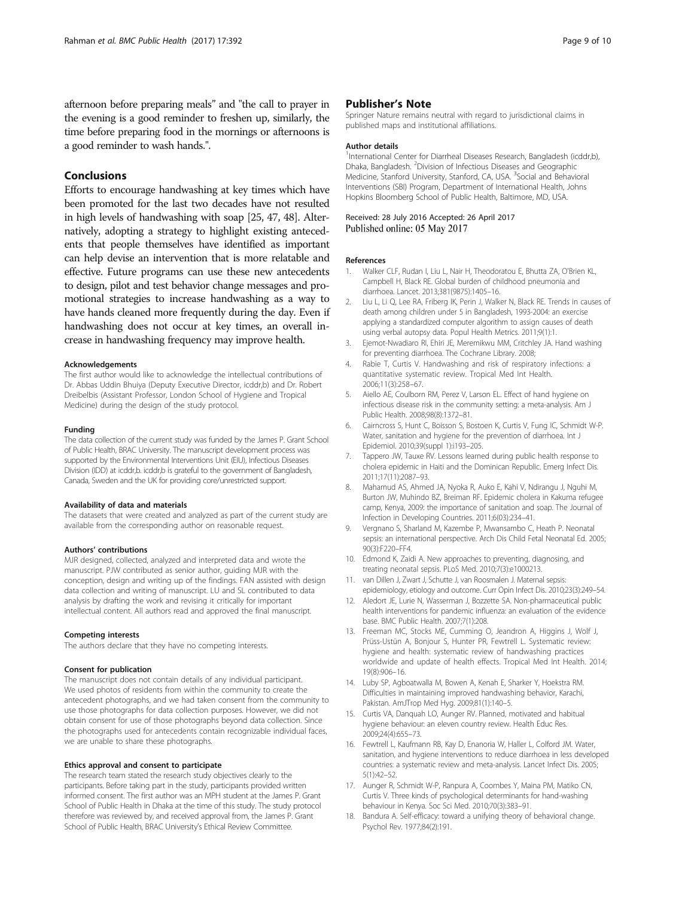<span id="page-8-0"></span>afternoon before preparing meals" and "the call to prayer in the evening is a good reminder to freshen up, similarly, the time before preparing food in the mornings or afternoons is a good reminder to wash hands.".

## Conclusions

Efforts to encourage handwashing at key times which have been promoted for the last two decades have not resulted in high levels of handwashing with soap [\[25](#page-9-0), [47, 48](#page-9-0)]. Alternatively, adopting a strategy to highlight existing antecedents that people themselves have identified as important can help devise an intervention that is more relatable and effective. Future programs can use these new antecedents to design, pilot and test behavior change messages and promotional strategies to increase handwashing as a way to have hands cleaned more frequently during the day. Even if handwashing does not occur at key times, an overall increase in handwashing frequency may improve health.

#### Acknowledgements

The first author would like to acknowledge the intellectual contributions of Dr. Abbas Uddin Bhuiya (Deputy Executive Director, icddr,b) and Dr. Robert Dreibelbis (Assistant Professor, London School of Hygiene and Tropical Medicine) during the design of the study protocol.

#### Funding

The data collection of the current study was funded by the James P. Grant School of Public Health, BRAC University. The manuscript development process was supported by the Environmental Interventions Unit (EIU), Infectious Diseases Division (IDD) at icddr,b. icddr,b is grateful to the government of Bangladesh, Canada, Sweden and the UK for providing core/unrestricted support.

#### Availability of data and materials

The datasets that were created and analyzed as part of the current study are available from the corresponding author on reasonable request.

#### Authors' contributions

MJR designed, collected, analyzed and interpreted data and wrote the manuscript. PJW contributed as senior author, guiding MJR with the conception, design and writing up of the findings. FAN assisted with design data collection and writing of manuscript. LU and SL contributed to data analysis by drafting the work and revising it critically for important intellectual content. All authors read and approved the final manuscript.

#### Competing interests

The authors declare that they have no competing interests.

#### Consent for publication

The manuscript does not contain details of any individual participant. We used photos of residents from within the community to create the antecedent photographs, and we had taken consent from the community to use those photographs for data collection purposes. However, we did not obtain consent for use of those photographs beyond data collection. Since the photographs used for antecedents contain recognizable individual faces, we are unable to share these photographs.

#### Ethics approval and consent to participate

The research team stated the research study objectives clearly to the participants. Before taking part in the study, participants provided written informed consent. The first author was an MPH student at the James P. Grant School of Public Health in Dhaka at the time of this study. The study protocol therefore was reviewed by, and received approval from, the James P. Grant School of Public Health, BRAC University's Ethical Review Committee.

## Publisher's Note

Springer Nature remains neutral with regard to jurisdictional claims in published maps and institutional affiliations.

#### Author details

<sup>1</sup>International Center for Diarrheal Diseases Research, Bangladesh (icddr,b), Dhaka, Bangladesh. <sup>2</sup>Division of Infectious Diseases and Geographic Medicine, Stanford University, Stanford, CA, USA. <sup>3</sup>Social and Behavioral Interventions (SBI) Program, Department of International Health, Johns Hopkins Bloomberg School of Public Health, Baltimore, MD, USA.

#### Received: 28 July 2016 Accepted: 26 April 2017 Published online: 05 May 2017

#### References

- 1. Walker CLF, Rudan I, Liu L, Nair H, Theodoratou E, Bhutta ZA, O'Brien KL, Campbell H, Black RE. Global burden of childhood pneumonia and diarrhoea. Lancet. 2013;381(9875):1405–16.
- 2. Liu L, Li Q, Lee RA, Friberg IK, Perin J, Walker N, Black RE. Trends in causes of death among children under 5 in Bangladesh, 1993-2004: an exercise applying a standardized computer algorithm to assign causes of death using verbal autopsy data. Popul Health Metrics. 2011;9(1):1.
- 3. Ejemot-Nwadiaro RI, Ehiri JE, Meremikwu MM, Critchley JA. Hand washing for preventing diarrhoea. The Cochrane Library. 2008;
- 4. Rabie T, Curtis V. Handwashing and risk of respiratory infections: a quantitative systematic review. Tropical Med Int Health. 2006;11(3):258–67.
- Aiello AE, Coulborn RM, Perez V, Larson EL. Effect of hand hygiene on infectious disease risk in the community setting: a meta-analysis. Am J Public Health. 2008;98(8):1372–81.
- 6. Cairncross S, Hunt C, Boisson S, Bostoen K, Curtis V, Fung IC, Schmidt W-P. Water, sanitation and hygiene for the prevention of diarrhoea. Int J Epidemiol. 2010;39(suppl 1):i193–205.
- 7. Tappero JW, Tauxe RV. Lessons learned during public health response to cholera epidemic in Haiti and the Dominican Republic. Emerg Infect Dis. 2011;17(11):2087–93.
- 8. Mahamud AS, Ahmed JA, Nyoka R, Auko E, Kahi V, Ndirangu J, Nguhi M, Burton JW, Muhindo BZ, Breiman RF. Epidemic cholera in Kakuma refugee camp, Kenya, 2009: the importance of sanitation and soap. The Journal of Infection in Developing Countries. 2011;6(03):234–41.
- 9. Vergnano S, Sharland M, Kazembe P, Mwansambo C, Heath P. Neonatal sepsis: an international perspective. Arch Dis Child Fetal Neonatal Ed. 2005; 90(3):F220–FF4.
- 10. Edmond K, Zaidi A. New approaches to preventing, diagnosing, and treating neonatal sepsis. PLoS Med. 2010;7(3):e1000213.
- 11. van Dillen J, Zwart J, Schutte J, van Roosmalen J. Maternal sepsis: epidemiology, etiology and outcome. Curr Opin Infect Dis. 2010;23(3):249–54.
- 12. Aledort JE, Lurie N, Wasserman J, Bozzette SA. Non-pharmaceutical public health interventions for pandemic influenza: an evaluation of the evidence base. BMC Public Health. 2007;7(1):208.
- 13. Freeman MC, Stocks ME, Cumming O, Jeandron A, Higgins J, Wolf J, Prüss-Ustün A, Bonjour S, Hunter PR, Fewtrell L. Systematic review: hygiene and health: systematic review of handwashing practices worldwide and update of health effects. Tropical Med Int Health. 2014; 19(8):906–16.
- 14. Luby SP, Agboatwalla M, Bowen A, Kenah E, Sharker Y, Hoekstra RM. Difficulties in maintaining improved handwashing behavior, Karachi, Pakistan. AmJTrop Med Hyg. 2009;81(1):140–5.
- 15. Curtis VA, Danquah LO, Aunger RV. Planned, motivated and habitual hygiene behaviour: an eleven country review. Health Educ Res. 2009;24(4):655–73.
- 16. Fewtrell L, Kaufmann RB, Kay D, Enanoria W, Haller L, Colford JM. Water, sanitation, and hygiene interventions to reduce diarrhoea in less developed countries: a systematic review and meta-analysis. Lancet Infect Dis. 2005; 5(1):42–52.
- 17. Aunger R, Schmidt W-P, Ranpura A, Coombes Y, Maina PM, Matiko CN, Curtis V. Three kinds of psychological determinants for hand-washing behaviour in Kenya. Soc Sci Med. 2010;70(3):383–91.
- 18. Bandura A. Self-efficacy: toward a unifying theory of behavioral change. Psychol Rev. 1977;84(2):191.